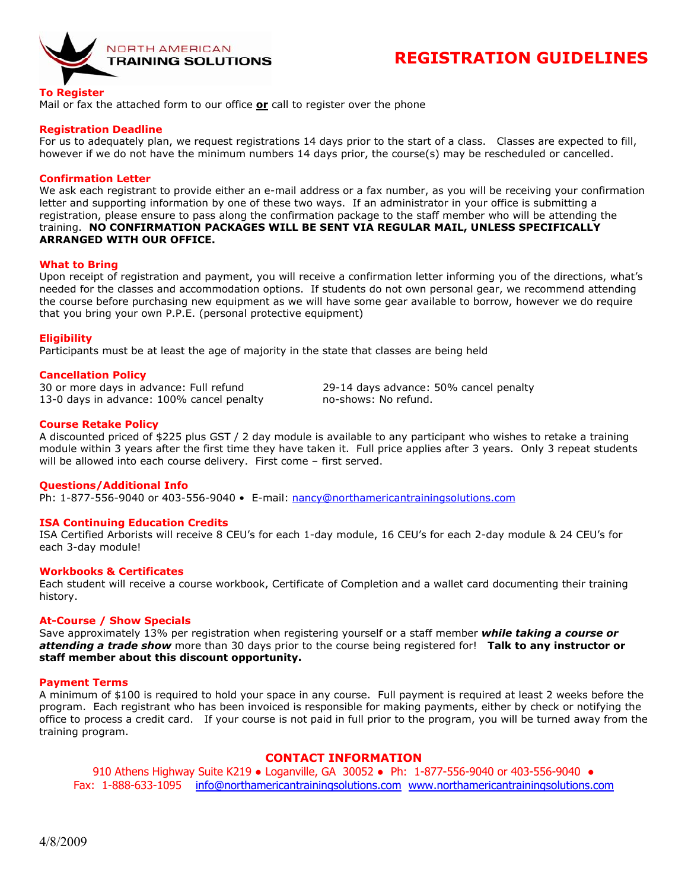

# **REGISTRATION GUIDELINES**

#### **To Register**

Mail or fax the attached form to our office **or** call to register over the phone

## **Registration Deadline**

For us to adequately plan, we request registrations 14 days prior to the start of a class. Classes are expected to fill, however if we do not have the minimum numbers 14 days prior, the course(s) may be rescheduled or cancelled.

### **Confirmation Letter**

We ask each registrant to provide either an e-mail address or a fax number, as you will be receiving your confirmation letter and supporting information by one of these two ways. If an administrator in your office is submitting a registration, please ensure to pass along the confirmation package to the staff member who will be attending the training. **NO CONFIRMATION PACKAGES WILL BE SENT VIA REGULAR MAIL, UNLESS SPECIFICALLY ARRANGED WITH OUR OFFICE.**

#### **What to Bring**

Upon receipt of registration and payment, you will receive a confirmation letter informing you of the directions, what's needed for the classes and accommodation options. If students do not own personal gear, we recommend attending the course before purchasing new equipment as we will have some gear available to borrow, however we do require that you bring your own P.P.E. (personal protective equipment)

#### **Eligibility**

Participants must be at least the age of majority in the state that classes are being held

## **Cancellation Policy**

30 or more days in advance: Full refund 29-14 days advance: 50% cancel penalty 13-0 days in advance: 100% cancel penalty no-shows: No refund.

#### **Course Retake Policy**

A discounted priced of \$225 plus GST / 2 day module is available to any participant who wishes to retake a training module within 3 years after the first time they have taken it. Full price applies after 3 years. Only 3 repeat students will be allowed into each course delivery. First come – first served.

#### **Questions/Additional Info**

Ph: 1-877-556-9040 or 403-556-9040 • E-mail: nancy@northamericantrainingsolutions.com

#### **ISA Continuing Education Credits**

ISA Certified Arborists will receive 8 CEU's for each 1-day module, 16 CEU's for each 2-day module & 24 CEU's for each 3-day module!

#### **Workbooks & Certificates**

Each student will receive a course workbook, Certificate of Completion and a wallet card documenting their training history.

#### **At-Course / Show Specials**

Save approximately 13% per registration when registering yourself or a staff member *while taking a course or attending a trade show* more than 30 days prior to the course being registered for! **Talk to any instructor or staff member about this discount opportunity.** 

#### **Payment Terms**

A minimum of \$100 is required to hold your space in any course. Full payment is required at least 2 weeks before the program. Each registrant who has been invoiced is responsible for making payments, either by check or notifying the office to process a credit card. If your course is not paid in full prior to the program, you will be turned away from the training program.

# **CONTACT INFORMATION**

910 Athens Highway Suite K219 • Loganville, GA 30052 • Ph: 1-877-556-9040 or 403-556-9040 • Fax: 1-888-633-1095 info@northamericantrainingsolutions.com www.northamericantrainingsolutions.com